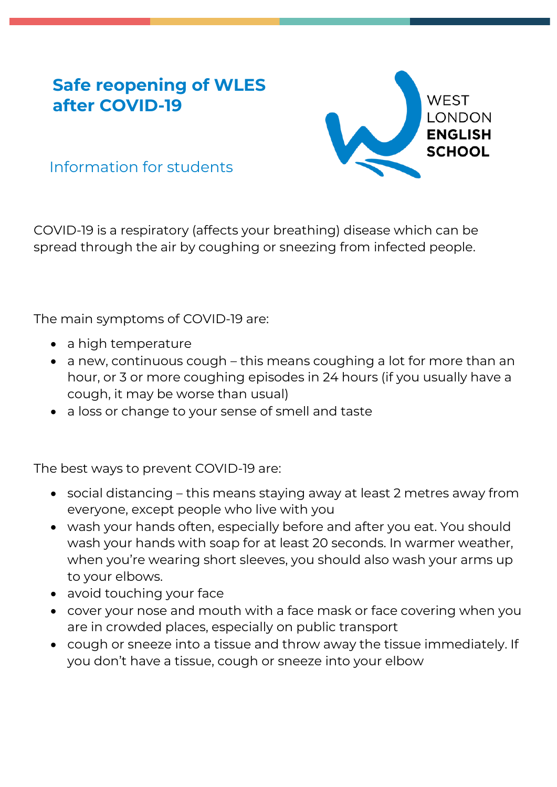## **Safe reopening of WLES after COVID-19**



Information for students

COVID-19 is a respiratory (affects your breathing) disease which can be spread through the air by coughing or sneezing from infected people.

The main symptoms of COVID-19 are:

- a high temperature
- a new, continuous cough this means coughing a lot for more than an hour, or 3 or more coughing episodes in 24 hours (if you usually have a cough, it may be worse than usual)
- a loss or change to your sense of smell and taste

The best ways to prevent COVID-19 are:

- social distancing this means staying away at least 2 metres away from everyone, except people who live with you
- wash your hands often, especially before and after you eat. You should wash your hands with soap for at least 20 seconds. In warmer weather, when you're wearing short sleeves, you should also wash your arms up to your elbows.
- avoid touching your face
- cover your nose and mouth with a face mask or face covering when you are in crowded places, especially on public transport
- cough or sneeze into a tissue and throw away the tissue immediately. If you don't have a tissue, cough or sneeze into your elbow